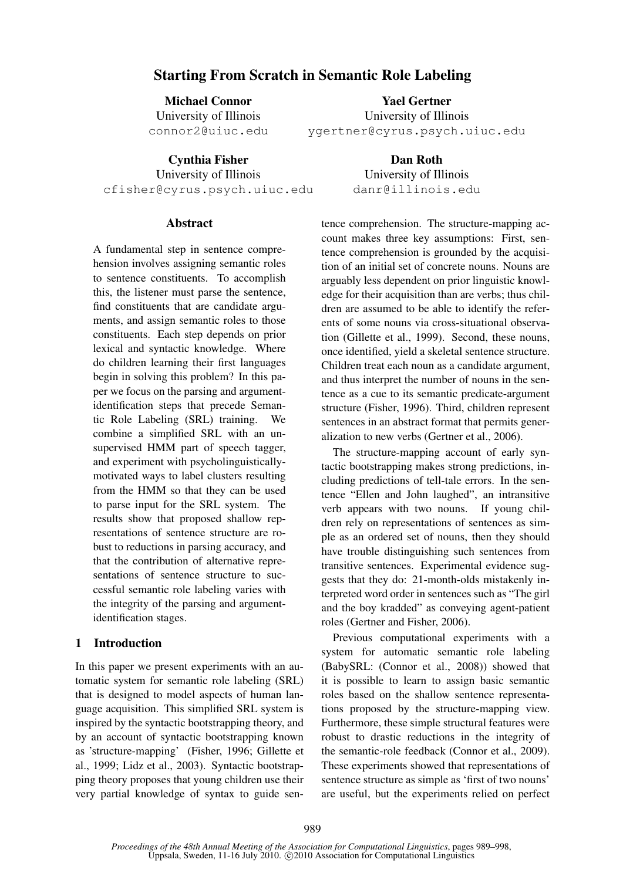# Starting From Scratch in Semantic Role Labeling

Michael Connor University of Illinois connor2@uiuc.edu

Yael Gertner University of Illinois ygertner@cyrus.psych.uiuc.edu

Cynthia Fisher University of Illinois cfisher@cyrus.psych.uiuc.edu

Dan Roth University of Illinois danr@illinois.edu

## Abstract

A fundamental step in sentence comprehension involves assigning semantic roles to sentence constituents. To accomplish this, the listener must parse the sentence, find constituents that are candidate arguments, and assign semantic roles to those constituents. Each step depends on prior lexical and syntactic knowledge. Where do children learning their first languages begin in solving this problem? In this paper we focus on the parsing and argumentidentification steps that precede Semantic Role Labeling (SRL) training. We combine a simplified SRL with an unsupervised HMM part of speech tagger, and experiment with psycholinguisticallymotivated ways to label clusters resulting from the HMM so that they can be used to parse input for the SRL system. The results show that proposed shallow representations of sentence structure are robust to reductions in parsing accuracy, and that the contribution of alternative representations of sentence structure to successful semantic role labeling varies with the integrity of the parsing and argumentidentification stages.

## 1 Introduction

In this paper we present experiments with an automatic system for semantic role labeling (SRL) that is designed to model aspects of human language acquisition. This simplified SRL system is inspired by the syntactic bootstrapping theory, and by an account of syntactic bootstrapping known as 'structure-mapping' (Fisher, 1996; Gillette et al., 1999; Lidz et al., 2003). Syntactic bootstrapping theory proposes that young children use their very partial knowledge of syntax to guide sentence comprehension. The structure-mapping account makes three key assumptions: First, sentence comprehension is grounded by the acquisition of an initial set of concrete nouns. Nouns are arguably less dependent on prior linguistic knowledge for their acquisition than are verbs; thus children are assumed to be able to identify the referents of some nouns via cross-situational observation (Gillette et al., 1999). Second, these nouns, once identified, yield a skeletal sentence structure. Children treat each noun as a candidate argument, and thus interpret the number of nouns in the sentence as a cue to its semantic predicate-argument structure (Fisher, 1996). Third, children represent sentences in an abstract format that permits generalization to new verbs (Gertner et al., 2006).

The structure-mapping account of early syntactic bootstrapping makes strong predictions, including predictions of tell-tale errors. In the sentence "Ellen and John laughed", an intransitive verb appears with two nouns. If young children rely on representations of sentences as simple as an ordered set of nouns, then they should have trouble distinguishing such sentences from transitive sentences. Experimental evidence suggests that they do: 21-month-olds mistakenly interpreted word order in sentences such as "The girl and the boy kradded" as conveying agent-patient roles (Gertner and Fisher, 2006).

Previous computational experiments with a system for automatic semantic role labeling (BabySRL: (Connor et al., 2008)) showed that it is possible to learn to assign basic semantic roles based on the shallow sentence representations proposed by the structure-mapping view. Furthermore, these simple structural features were robust to drastic reductions in the integrity of the semantic-role feedback (Connor et al., 2009). These experiments showed that representations of sentence structure as simple as 'first of two nouns' are useful, but the experiments relied on perfect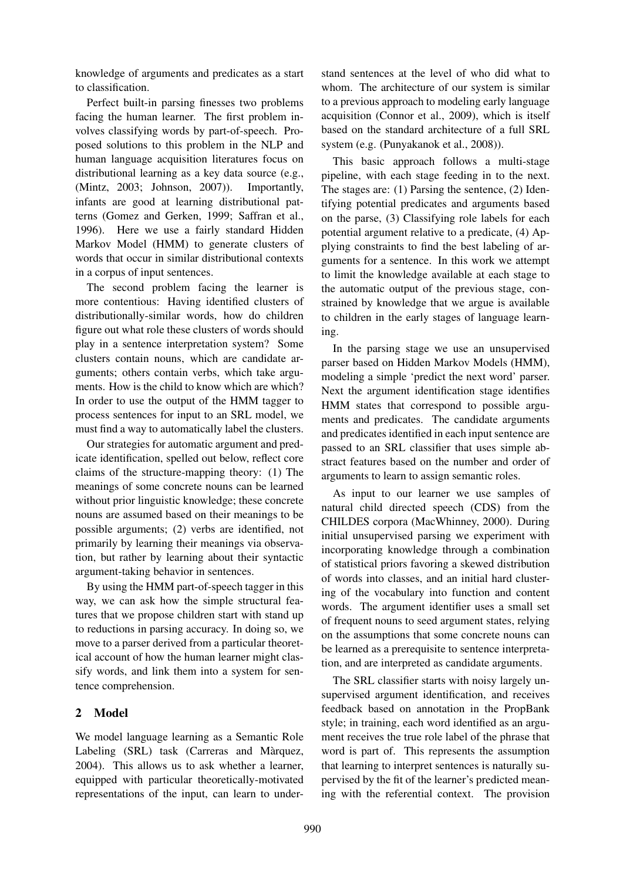knowledge of arguments and predicates as a start to classification.

Perfect built-in parsing finesses two problems facing the human learner. The first problem involves classifying words by part-of-speech. Proposed solutions to this problem in the NLP and human language acquisition literatures focus on distributional learning as a key data source (e.g., (Mintz, 2003; Johnson, 2007)). Importantly, infants are good at learning distributional patterns (Gomez and Gerken, 1999; Saffran et al., 1996). Here we use a fairly standard Hidden Markov Model (HMM) to generate clusters of words that occur in similar distributional contexts in a corpus of input sentences.

The second problem facing the learner is more contentious: Having identified clusters of distributionally-similar words, how do children figure out what role these clusters of words should play in a sentence interpretation system? Some clusters contain nouns, which are candidate arguments; others contain verbs, which take arguments. How is the child to know which are which? In order to use the output of the HMM tagger to process sentences for input to an SRL model, we must find a way to automatically label the clusters.

Our strategies for automatic argument and predicate identification, spelled out below, reflect core claims of the structure-mapping theory: (1) The meanings of some concrete nouns can be learned without prior linguistic knowledge; these concrete nouns are assumed based on their meanings to be possible arguments; (2) verbs are identified, not primarily by learning their meanings via observation, but rather by learning about their syntactic argument-taking behavior in sentences.

By using the HMM part-of-speech tagger in this way, we can ask how the simple structural features that we propose children start with stand up to reductions in parsing accuracy. In doing so, we move to a parser derived from a particular theoretical account of how the human learner might classify words, and link them into a system for sentence comprehension.

## 2 Model

We model language learning as a Semantic Role Labeling (SRL) task (Carreras and Màrquez, 2004). This allows us to ask whether a learner, equipped with particular theoretically-motivated representations of the input, can learn to understand sentences at the level of who did what to whom. The architecture of our system is similar to a previous approach to modeling early language acquisition (Connor et al., 2009), which is itself based on the standard architecture of a full SRL system (e.g. (Punyakanok et al., 2008)).

This basic approach follows a multi-stage pipeline, with each stage feeding in to the next. The stages are: (1) Parsing the sentence, (2) Identifying potential predicates and arguments based on the parse, (3) Classifying role labels for each potential argument relative to a predicate, (4) Applying constraints to find the best labeling of arguments for a sentence. In this work we attempt to limit the knowledge available at each stage to the automatic output of the previous stage, constrained by knowledge that we argue is available to children in the early stages of language learning.

In the parsing stage we use an unsupervised parser based on Hidden Markov Models (HMM), modeling a simple 'predict the next word' parser. Next the argument identification stage identifies HMM states that correspond to possible arguments and predicates. The candidate arguments and predicates identified in each input sentence are passed to an SRL classifier that uses simple abstract features based on the number and order of arguments to learn to assign semantic roles.

As input to our learner we use samples of natural child directed speech (CDS) from the CHILDES corpora (MacWhinney, 2000). During initial unsupervised parsing we experiment with incorporating knowledge through a combination of statistical priors favoring a skewed distribution of words into classes, and an initial hard clustering of the vocabulary into function and content words. The argument identifier uses a small set of frequent nouns to seed argument states, relying on the assumptions that some concrete nouns can be learned as a prerequisite to sentence interpretation, and are interpreted as candidate arguments.

The SRL classifier starts with noisy largely unsupervised argument identification, and receives feedback based on annotation in the PropBank style; in training, each word identified as an argument receives the true role label of the phrase that word is part of. This represents the assumption that learning to interpret sentences is naturally supervised by the fit of the learner's predicted meaning with the referential context. The provision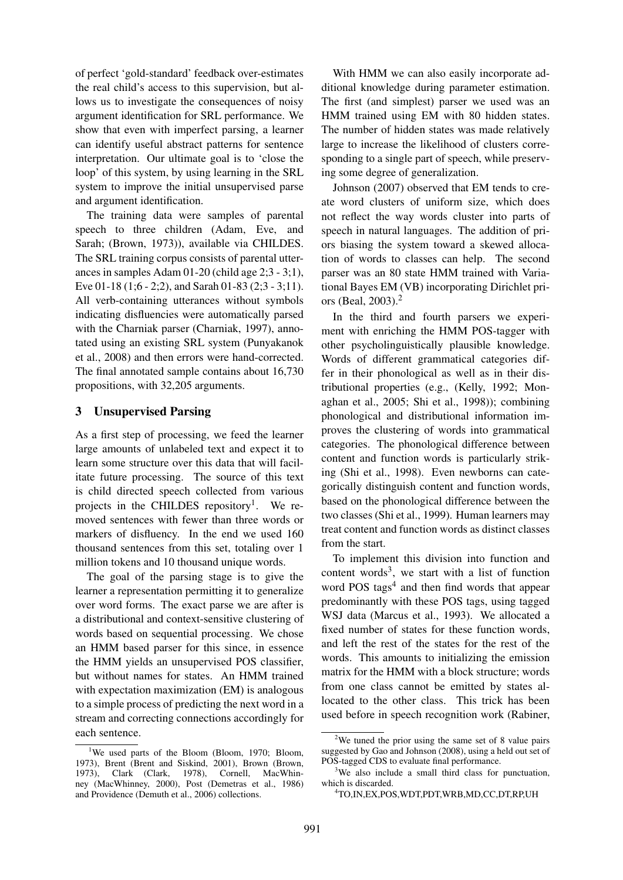of perfect 'gold-standard' feedback over-estimates the real child's access to this supervision, but allows us to investigate the consequences of noisy argument identification for SRL performance. We show that even with imperfect parsing, a learner can identify useful abstract patterns for sentence interpretation. Our ultimate goal is to 'close the loop' of this system, by using learning in the SRL system to improve the initial unsupervised parse and argument identification.

The training data were samples of parental speech to three children (Adam, Eve, and Sarah; (Brown, 1973)), available via CHILDES. The SRL training corpus consists of parental utterances in samples Adam 01-20 (child age 2;3 - 3;1), Eve 01-18 (1;6 - 2;2), and Sarah 01-83 (2;3 - 3;11). All verb-containing utterances without symbols indicating disfluencies were automatically parsed with the Charniak parser (Charniak, 1997), annotated using an existing SRL system (Punyakanok et al., 2008) and then errors were hand-corrected. The final annotated sample contains about 16,730 propositions, with 32,205 arguments.

## 3 Unsupervised Parsing

As a first step of processing, we feed the learner large amounts of unlabeled text and expect it to learn some structure over this data that will facilitate future processing. The source of this text is child directed speech collected from various projects in the CHILDES repository<sup>1</sup>. We removed sentences with fewer than three words or markers of disfluency. In the end we used 160 thousand sentences from this set, totaling over 1 million tokens and 10 thousand unique words.

The goal of the parsing stage is to give the learner a representation permitting it to generalize over word forms. The exact parse we are after is a distributional and context-sensitive clustering of words based on sequential processing. We chose an HMM based parser for this since, in essence the HMM yields an unsupervised POS classifier, but without names for states. An HMM trained with expectation maximization (EM) is analogous to a simple process of predicting the next word in a stream and correcting connections accordingly for each sentence.

With HMM we can also easily incorporate additional knowledge during parameter estimation. The first (and simplest) parser we used was an HMM trained using EM with 80 hidden states. The number of hidden states was made relatively large to increase the likelihood of clusters corresponding to a single part of speech, while preserving some degree of generalization.

Johnson (2007) observed that EM tends to create word clusters of uniform size, which does not reflect the way words cluster into parts of speech in natural languages. The addition of priors biasing the system toward a skewed allocation of words to classes can help. The second parser was an 80 state HMM trained with Variational Bayes EM (VB) incorporating Dirichlet priors (Beal, 2003).<sup>2</sup>

In the third and fourth parsers we experiment with enriching the HMM POS-tagger with other psycholinguistically plausible knowledge. Words of different grammatical categories differ in their phonological as well as in their distributional properties (e.g., (Kelly, 1992; Monaghan et al., 2005; Shi et al., 1998)); combining phonological and distributional information improves the clustering of words into grammatical categories. The phonological difference between content and function words is particularly striking (Shi et al., 1998). Even newborns can categorically distinguish content and function words, based on the phonological difference between the two classes (Shi et al., 1999). Human learners may treat content and function words as distinct classes from the start.

To implement this division into function and content words<sup>3</sup>, we start with a list of function word POS tags<sup>4</sup> and then find words that appear predominantly with these POS tags, using tagged WSJ data (Marcus et al., 1993). We allocated a fixed number of states for these function words, and left the rest of the states for the rest of the words. This amounts to initializing the emission matrix for the HMM with a block structure; words from one class cannot be emitted by states allocated to the other class. This trick has been used before in speech recognition work (Rabiner,

<sup>&</sup>lt;sup>1</sup>We used parts of the Bloom (Bloom, 1970; Bloom, 1973), Brent (Brent and Siskind, 2001), Brown (Brown, 1973), Clark (Clark, 1978), Cornell, MacWhinney (MacWhinney, 2000), Post (Demetras et al., 1986) and Providence (Demuth et al., 2006) collections.

<sup>&</sup>lt;sup>2</sup>We tuned the prior using the same set of 8 value pairs suggested by Gao and Johnson (2008), using a held out set of POS-tagged CDS to evaluate final performance.

<sup>&</sup>lt;sup>3</sup>We also include a small third class for punctuation, which is discarded.

<sup>4</sup>TO,IN,EX,POS,WDT,PDT,WRB,MD,CC,DT,RP,UH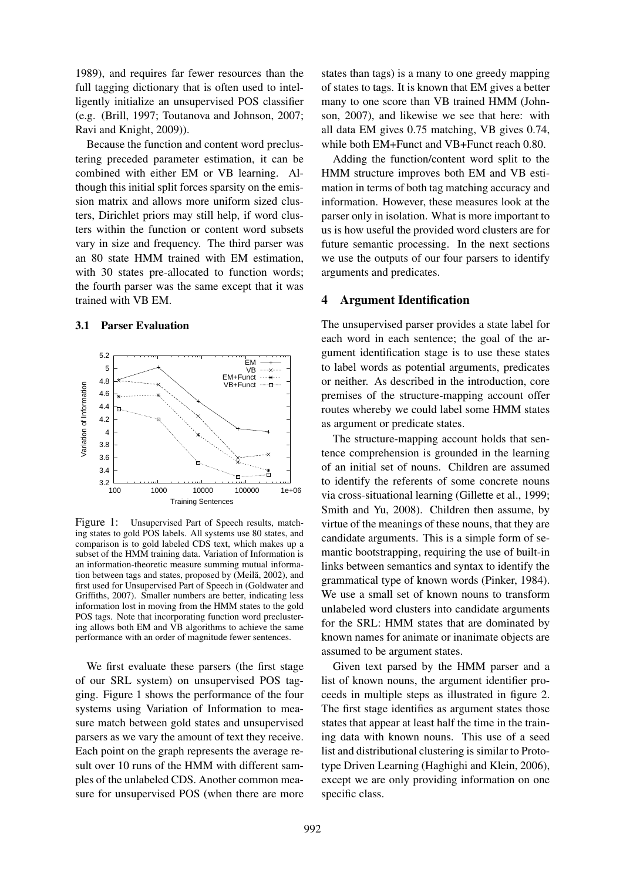1989), and requires far fewer resources than the full tagging dictionary that is often used to intelligently initialize an unsupervised POS classifier (e.g. (Brill, 1997; Toutanova and Johnson, 2007; Ravi and Knight, 2009)).

Because the function and content word preclustering preceded parameter estimation, it can be combined with either EM or VB learning. Although this initial split forces sparsity on the emission matrix and allows more uniform sized clusters, Dirichlet priors may still help, if word clusters within the function or content word subsets vary in size and frequency. The third parser was an 80 state HMM trained with EM estimation, with 30 states pre-allocated to function words; the fourth parser was the same except that it was trained with VB EM.

#### 3.1 Parser Evaluation



Figure 1: Unsupervised Part of Speech results, matching states to gold POS labels. All systems use 80 states, and comparison is to gold labeled CDS text, which makes up a subset of the HMM training data. Variation of Information is an information-theoretic measure summing mutual information between tags and states, proposed by (Meilă, 2002), and first used for Unsupervised Part of Speech in (Goldwater and Griffiths, 2007). Smaller numbers are better, indicating less information lost in moving from the HMM states to the gold POS tags. Note that incorporating function word preclustering allows both EM and VB algorithms to achieve the same performance with an order of magnitude fewer sentences.

We first evaluate these parsers (the first stage of our SRL system) on unsupervised POS tagging. Figure 1 shows the performance of the four systems using Variation of Information to measure match between gold states and unsupervised parsers as we vary the amount of text they receive. Each point on the graph represents the average result over 10 runs of the HMM with different samples of the unlabeled CDS. Another common measure for unsupervised POS (when there are more states than tags) is a many to one greedy mapping of states to tags. It is known that EM gives a better many to one score than VB trained HMM (Johnson, 2007), and likewise we see that here: with all data EM gives 0.75 matching, VB gives 0.74, while both EM+Funct and VB+Funct reach 0.80.

Adding the function/content word split to the HMM structure improves both EM and VB estimation in terms of both tag matching accuracy and information. However, these measures look at the parser only in isolation. What is more important to us is how useful the provided word clusters are for future semantic processing. In the next sections we use the outputs of our four parsers to identify arguments and predicates.

#### 4 Argument Identification

The unsupervised parser provides a state label for each word in each sentence; the goal of the argument identification stage is to use these states to label words as potential arguments, predicates or neither. As described in the introduction, core premises of the structure-mapping account offer routes whereby we could label some HMM states as argument or predicate states.

The structure-mapping account holds that sentence comprehension is grounded in the learning of an initial set of nouns. Children are assumed to identify the referents of some concrete nouns via cross-situational learning (Gillette et al., 1999; Smith and Yu, 2008). Children then assume, by virtue of the meanings of these nouns, that they are candidate arguments. This is a simple form of semantic bootstrapping, requiring the use of built-in links between semantics and syntax to identify the grammatical type of known words (Pinker, 1984). We use a small set of known nouns to transform unlabeled word clusters into candidate arguments for the SRL: HMM states that are dominated by known names for animate or inanimate objects are assumed to be argument states.

Given text parsed by the HMM parser and a list of known nouns, the argument identifier proceeds in multiple steps as illustrated in figure 2. The first stage identifies as argument states those states that appear at least half the time in the training data with known nouns. This use of a seed list and distributional clustering is similar to Prototype Driven Learning (Haghighi and Klein, 2006), except we are only providing information on one specific class.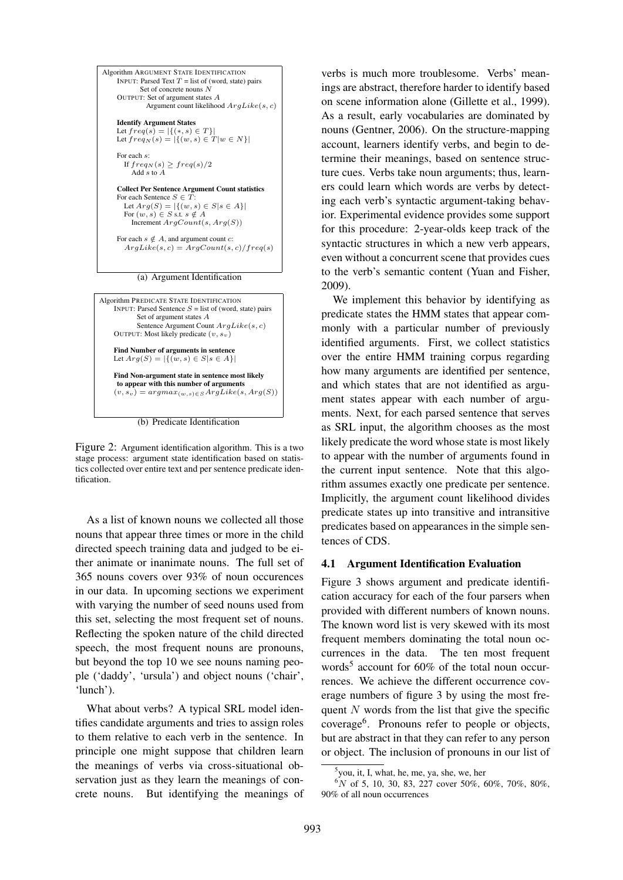

(a) Argument Identification



(b) Predicate Identification

Figure 2: Argument identification algorithm. This is a two stage process: argument state identification based on statistics collected over entire text and per sentence predicate identification.

As a list of known nouns we collected all those nouns that appear three times or more in the child directed speech training data and judged to be either animate or inanimate nouns. The full set of 365 nouns covers over 93% of noun occurences in our data. In upcoming sections we experiment with varying the number of seed nouns used from this set, selecting the most frequent set of nouns. Reflecting the spoken nature of the child directed speech, the most frequent nouns are pronouns, but beyond the top 10 we see nouns naming people ('daddy', 'ursula') and object nouns ('chair', 'lunch').

What about verbs? A typical SRL model identifies candidate arguments and tries to assign roles to them relative to each verb in the sentence. In principle one might suppose that children learn the meanings of verbs via cross-situational observation just as they learn the meanings of concrete nouns. But identifying the meanings of

verbs is much more troublesome. Verbs' meanings are abstract, therefore harder to identify based on scene information alone (Gillette et al., 1999). As a result, early vocabularies are dominated by nouns (Gentner, 2006). On the structure-mapping account, learners identify verbs, and begin to determine their meanings, based on sentence structure cues. Verbs take noun arguments; thus, learners could learn which words are verbs by detecting each verb's syntactic argument-taking behavior. Experimental evidence provides some support for this procedure: 2-year-olds keep track of the syntactic structures in which a new verb appears, even without a concurrent scene that provides cues to the verb's semantic content (Yuan and Fisher, 2009).

We implement this behavior by identifying as predicate states the HMM states that appear commonly with a particular number of previously identified arguments. First, we collect statistics over the entire HMM training corpus regarding how many arguments are identified per sentence, and which states that are not identified as argument states appear with each number of arguments. Next, for each parsed sentence that serves as SRL input, the algorithm chooses as the most likely predicate the word whose state is most likely to appear with the number of arguments found in the current input sentence. Note that this algorithm assumes exactly one predicate per sentence. Implicitly, the argument count likelihood divides predicate states up into transitive and intransitive predicates based on appearances in the simple sentences of CDS.

#### 4.1 Argument Identification Evaluation

Figure 3 shows argument and predicate identification accuracy for each of the four parsers when provided with different numbers of known nouns. The known word list is very skewed with its most frequent members dominating the total noun occurrences in the data. The ten most frequent words<sup>5</sup> account for 60% of the total noun occurrences. We achieve the different occurrence coverage numbers of figure 3 by using the most frequent  $N$  words from the list that give the specific coverage<sup>6</sup> . Pronouns refer to people or objects, but are abstract in that they can refer to any person or object. The inclusion of pronouns in our list of

<sup>5</sup> you, it, I, what, he, me, ya, she, we, her

 $6N$  of 5, 10, 30, 83, 227 cover 50%, 60%, 70%, 80%, 90% of all noun occurrences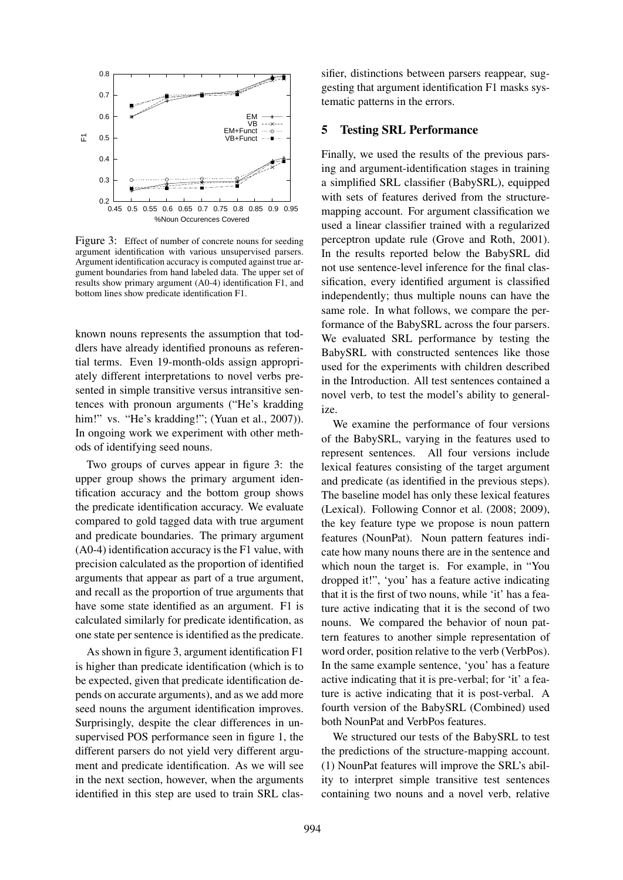

Figure 3: Effect of number of concrete nouns for seeding argument identification with various unsupervised parsers. Argument identification accuracy is computed against true argument boundaries from hand labeled data. The upper set of results show primary argument (A0-4) identification F1, and bottom lines show predicate identification F1.

known nouns represents the assumption that toddlers have already identified pronouns as referential terms. Even 19-month-olds assign appropriately different interpretations to novel verbs presented in simple transitive versus intransitive sentences with pronoun arguments ("He's kradding him!" vs. "He's kradding!"; (Yuan et al., 2007)). In ongoing work we experiment with other methods of identifying seed nouns.

Two groups of curves appear in figure 3: the upper group shows the primary argument identification accuracy and the bottom group shows the predicate identification accuracy. We evaluate compared to gold tagged data with true argument and predicate boundaries. The primary argument (A0-4) identification accuracy is the F1 value, with precision calculated as the proportion of identified arguments that appear as part of a true argument, and recall as the proportion of true arguments that have some state identified as an argument. F1 is calculated similarly for predicate identification, as one state per sentence is identified as the predicate.

As shown in figure 3, argument identification F1 is higher than predicate identification (which is to be expected, given that predicate identification depends on accurate arguments), and as we add more seed nouns the argument identification improves. Surprisingly, despite the clear differences in unsupervised POS performance seen in figure 1, the different parsers do not yield very different argument and predicate identification. As we will see in the next section, however, when the arguments identified in this step are used to train SRL classifier, distinctions between parsers reappear, suggesting that argument identification F1 masks systematic patterns in the errors.

### 5 Testing SRL Performance

Finally, we used the results of the previous parsing and argument-identification stages in training a simplified SRL classifier (BabySRL), equipped with sets of features derived from the structuremapping account. For argument classification we used a linear classifier trained with a regularized perceptron update rule (Grove and Roth, 2001). In the results reported below the BabySRL did not use sentence-level inference for the final classification, every identified argument is classified independently; thus multiple nouns can have the same role. In what follows, we compare the performance of the BabySRL across the four parsers. We evaluated SRL performance by testing the BabySRL with constructed sentences like those used for the experiments with children described in the Introduction. All test sentences contained a novel verb, to test the model's ability to generalize.

We examine the performance of four versions of the BabySRL, varying in the features used to represent sentences. All four versions include lexical features consisting of the target argument and predicate (as identified in the previous steps). The baseline model has only these lexical features (Lexical). Following Connor et al. (2008; 2009), the key feature type we propose is noun pattern features (NounPat). Noun pattern features indicate how many nouns there are in the sentence and which noun the target is. For example, in "You dropped it!", 'you' has a feature active indicating that it is the first of two nouns, while 'it' has a feature active indicating that it is the second of two nouns. We compared the behavior of noun pattern features to another simple representation of word order, position relative to the verb (VerbPos). In the same example sentence, 'you' has a feature active indicating that it is pre-verbal; for 'it' a feature is active indicating that it is post-verbal. A fourth version of the BabySRL (Combined) used both NounPat and VerbPos features.

We structured our tests of the BabySRL to test the predictions of the structure-mapping account. (1) NounPat features will improve the SRL's ability to interpret simple transitive test sentences containing two nouns and a novel verb, relative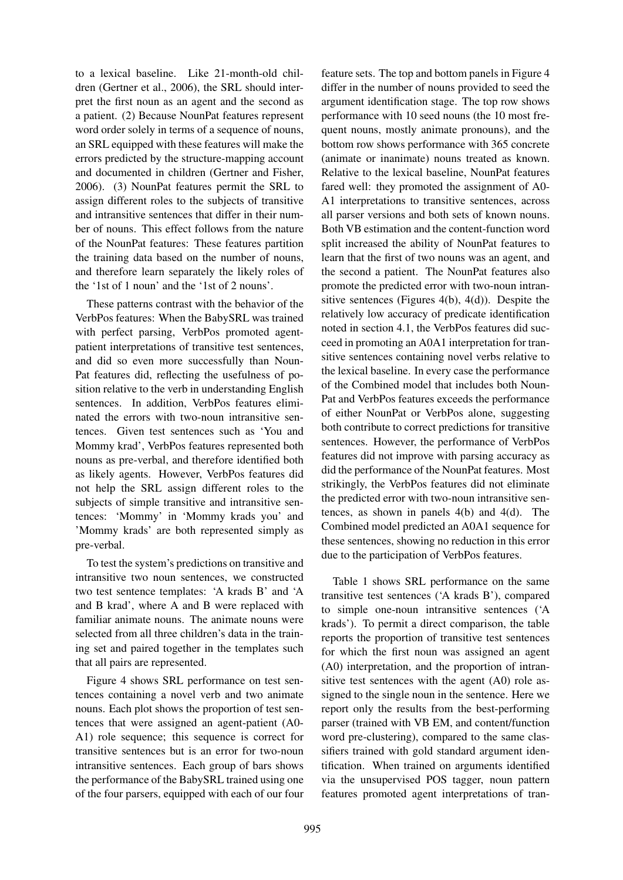to a lexical baseline. Like 21-month-old children (Gertner et al., 2006), the SRL should interpret the first noun as an agent and the second as a patient. (2) Because NounPat features represent word order solely in terms of a sequence of nouns, an SRL equipped with these features will make the errors predicted by the structure-mapping account and documented in children (Gertner and Fisher, 2006). (3) NounPat features permit the SRL to assign different roles to the subjects of transitive and intransitive sentences that differ in their number of nouns. This effect follows from the nature of the NounPat features: These features partition the training data based on the number of nouns, and therefore learn separately the likely roles of the '1st of 1 noun' and the '1st of 2 nouns'.

These patterns contrast with the behavior of the VerbPos features: When the BabySRL was trained with perfect parsing, VerbPos promoted agentpatient interpretations of transitive test sentences, and did so even more successfully than Noun-Pat features did, reflecting the usefulness of position relative to the verb in understanding English sentences. In addition, VerbPos features eliminated the errors with two-noun intransitive sentences. Given test sentences such as 'You and Mommy krad', VerbPos features represented both nouns as pre-verbal, and therefore identified both as likely agents. However, VerbPos features did not help the SRL assign different roles to the subjects of simple transitive and intransitive sentences: 'Mommy' in 'Mommy krads you' and 'Mommy krads' are both represented simply as pre-verbal.

To test the system's predictions on transitive and intransitive two noun sentences, we constructed two test sentence templates: 'A krads B' and 'A and B krad', where A and B were replaced with familiar animate nouns. The animate nouns were selected from all three children's data in the training set and paired together in the templates such that all pairs are represented.

Figure 4 shows SRL performance on test sentences containing a novel verb and two animate nouns. Each plot shows the proportion of test sentences that were assigned an agent-patient (A0- A1) role sequence; this sequence is correct for transitive sentences but is an error for two-noun intransitive sentences. Each group of bars shows the performance of the BabySRL trained using one of the four parsers, equipped with each of our four

feature sets. The top and bottom panels in Figure 4 differ in the number of nouns provided to seed the argument identification stage. The top row shows performance with 10 seed nouns (the 10 most frequent nouns, mostly animate pronouns), and the bottom row shows performance with 365 concrete (animate or inanimate) nouns treated as known. Relative to the lexical baseline, NounPat features fared well: they promoted the assignment of A0- A1 interpretations to transitive sentences, across all parser versions and both sets of known nouns. Both VB estimation and the content-function word split increased the ability of NounPat features to learn that the first of two nouns was an agent, and the second a patient. The NounPat features also promote the predicted error with two-noun intransitive sentences (Figures 4(b), 4(d)). Despite the relatively low accuracy of predicate identification noted in section 4.1, the VerbPos features did succeed in promoting an A0A1 interpretation for transitive sentences containing novel verbs relative to the lexical baseline. In every case the performance of the Combined model that includes both Noun-Pat and VerbPos features exceeds the performance of either NounPat or VerbPos alone, suggesting both contribute to correct predictions for transitive sentences. However, the performance of VerbPos features did not improve with parsing accuracy as did the performance of the NounPat features. Most strikingly, the VerbPos features did not eliminate the predicted error with two-noun intransitive sentences, as shown in panels 4(b) and 4(d). The Combined model predicted an A0A1 sequence for these sentences, showing no reduction in this error due to the participation of VerbPos features.

Table 1 shows SRL performance on the same transitive test sentences ('A krads B'), compared to simple one-noun intransitive sentences ('A krads'). To permit a direct comparison, the table reports the proportion of transitive test sentences for which the first noun was assigned an agent (A0) interpretation, and the proportion of intransitive test sentences with the agent (A0) role assigned to the single noun in the sentence. Here we report only the results from the best-performing parser (trained with VB EM, and content/function word pre-clustering), compared to the same classifiers trained with gold standard argument identification. When trained on arguments identified via the unsupervised POS tagger, noun pattern features promoted agent interpretations of tran-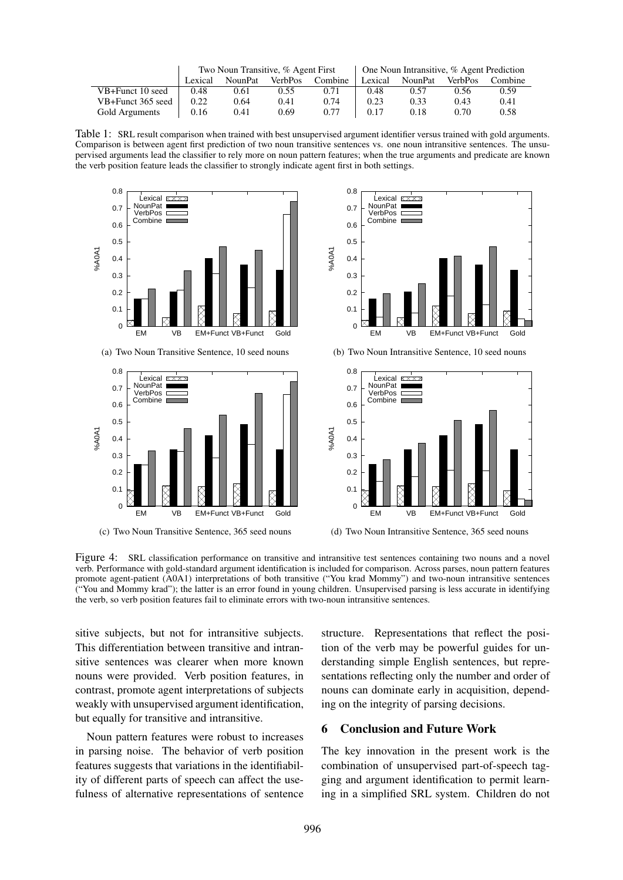|                   | Two Noun Transitive, % Agent First |         |                |         | $\Box$ One Noun Intransitive, % Agent Prediction |         |                |         |
|-------------------|------------------------------------|---------|----------------|---------|--------------------------------------------------|---------|----------------|---------|
|                   | Lexical                            | NounPat | <b>VerbPos</b> | Combine | Lexical                                          | NounPat | <b>VerbPos</b> | Combine |
| VB+Funct 10 seed  | 0.48                               | 0.61    | 0.55           | 0.71    | 0.48                                             | 0.57    | 0.56           | 0.59    |
| VB+Funct 365 seed | 0.22                               | 0.64    | 0.41           | 0.74    | 0.23                                             | 0.33    | 0.43           | 0.41    |
| Gold Arguments    | 0.16                               | 0.41    | 0.69           | 0.77    | 0.17                                             | 0.18    | 0.70           | 0.58    |

Table 1: SRL result comparison when trained with best unsupervised argument identifier versus trained with gold arguments. Comparison is between agent first prediction of two noun transitive sentences vs. one noun intransitive sentences. The unsupervised arguments lead the classifier to rely more on noun pattern features; when the true arguments and predicate are known the verb position feature leads the classifier to strongly indicate agent first in both settings.



(a) Two Noun Transitive Sentence, 10 seed nouns



(c) Two Noun Transitive Sentence, 365 seed nouns



(b) Two Noun Intransitive Sentence, 10 seed nouns



(d) Two Noun Intransitive Sentence, 365 seed nouns

Figure 4: SRL classification performance on transitive and intransitive test sentences containing two nouns and a novel verb. Performance with gold-standard argument identification is included for comparison. Across parses, noun pattern features promote agent-patient (A0A1) interpretations of both transitive ("You krad Mommy") and two-noun intransitive sentences ("You and Mommy krad"); the latter is an error found in young children. Unsupervised parsing is less accurate in identifying the verb, so verb position features fail to eliminate errors with two-noun intransitive sentences.

sitive subjects, but not for intransitive subjects. This differentiation between transitive and intransitive sentences was clearer when more known nouns were provided. Verb position features, in contrast, promote agent interpretations of subjects weakly with unsupervised argument identification, but equally for transitive and intransitive.

Noun pattern features were robust to increases in parsing noise. The behavior of verb position features suggests that variations in the identifiability of different parts of speech can affect the usefulness of alternative representations of sentence structure. Representations that reflect the position of the verb may be powerful guides for understanding simple English sentences, but representations reflecting only the number and order of nouns can dominate early in acquisition, depending on the integrity of parsing decisions.

## 6 Conclusion and Future Work

The key innovation in the present work is the combination of unsupervised part-of-speech tagging and argument identification to permit learning in a simplified SRL system. Children do not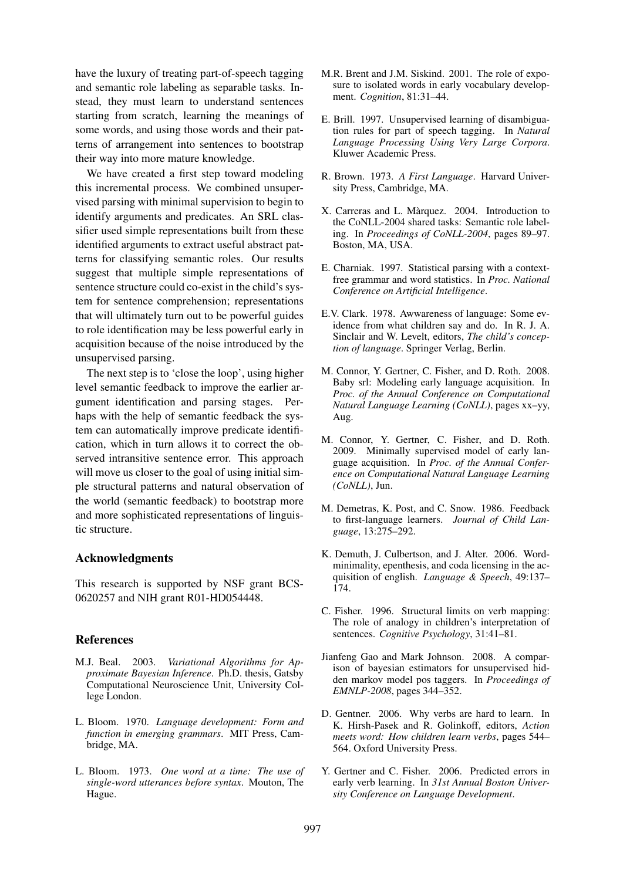have the luxury of treating part-of-speech tagging and semantic role labeling as separable tasks. Instead, they must learn to understand sentences starting from scratch, learning the meanings of some words, and using those words and their patterns of arrangement into sentences to bootstrap their way into more mature knowledge.

We have created a first step toward modeling this incremental process. We combined unsupervised parsing with minimal supervision to begin to identify arguments and predicates. An SRL classifier used simple representations built from these identified arguments to extract useful abstract patterns for classifying semantic roles. Our results suggest that multiple simple representations of sentence structure could co-exist in the child's system for sentence comprehension; representations that will ultimately turn out to be powerful guides to role identification may be less powerful early in acquisition because of the noise introduced by the unsupervised parsing.

The next step is to 'close the loop', using higher level semantic feedback to improve the earlier argument identification and parsing stages. Perhaps with the help of semantic feedback the system can automatically improve predicate identification, which in turn allows it to correct the observed intransitive sentence error. This approach will move us closer to the goal of using initial simple structural patterns and natural observation of the world (semantic feedback) to bootstrap more and more sophisticated representations of linguistic structure.

## Acknowledgments

This research is supported by NSF grant BCS-0620257 and NIH grant R01-HD054448.

## References

- M.J. Beal. 2003. *Variational Algorithms for Approximate Bayesian Inference*. Ph.D. thesis, Gatsby Computational Neuroscience Unit, University College London.
- L. Bloom. 1970. *Language development: Form and function in emerging grammars*. MIT Press, Cambridge, MA.
- L. Bloom. 1973. *One word at a time: The use of single-word utterances before syntax*. Mouton, The Hague.
- M.R. Brent and J.M. Siskind. 2001. The role of exposure to isolated words in early vocabulary development. *Cognition*, 81:31–44.
- E. Brill. 1997. Unsupervised learning of disambiguation rules for part of speech tagging. In *Natural Language Processing Using Very Large Corpora*. Kluwer Academic Press.
- R. Brown. 1973. *A First Language*. Harvard University Press, Cambridge, MA.
- X. Carreras and L. Màrquez. 2004. Introduction to the CoNLL-2004 shared tasks: Semantic role labeling. In *Proceedings of CoNLL-2004*, pages 89–97. Boston, MA, USA.
- E. Charniak. 1997. Statistical parsing with a contextfree grammar and word statistics. In *Proc. National Conference on Artificial Intelligence*.
- E.V. Clark. 1978. Awwareness of language: Some evidence from what children say and do. In R. J. A. Sinclair and W. Levelt, editors, *The child's conception of language*. Springer Verlag, Berlin.
- M. Connor, Y. Gertner, C. Fisher, and D. Roth. 2008. Baby srl: Modeling early language acquisition. In *Proc. of the Annual Conference on Computational Natural Language Learning (CoNLL)*, pages xx–yy, Aug.
- M. Connor, Y. Gertner, C. Fisher, and D. Roth. 2009. Minimally supervised model of early language acquisition. In *Proc. of the Annual Conference on Computational Natural Language Learning (CoNLL)*, Jun.
- M. Demetras, K. Post, and C. Snow. 1986. Feedback to first-language learners. *Journal of Child Language*, 13:275–292.
- K. Demuth, J. Culbertson, and J. Alter. 2006. Wordminimality, epenthesis, and coda licensing in the acquisition of english. *Language & Speech*, 49:137– 174.
- C. Fisher. 1996. Structural limits on verb mapping: The role of analogy in children's interpretation of sentences. *Cognitive Psychology*, 31:41–81.
- Jianfeng Gao and Mark Johnson. 2008. A comparison of bayesian estimators for unsupervised hidden markov model pos taggers. In *Proceedings of EMNLP-2008*, pages 344–352.
- D. Gentner. 2006. Why verbs are hard to learn. In K. Hirsh-Pasek and R. Golinkoff, editors, *Action meets word: How children learn verbs*, pages 544– 564. Oxford University Press.
- Y. Gertner and C. Fisher. 2006. Predicted errors in early verb learning. In *31st Annual Boston University Conference on Language Development*.